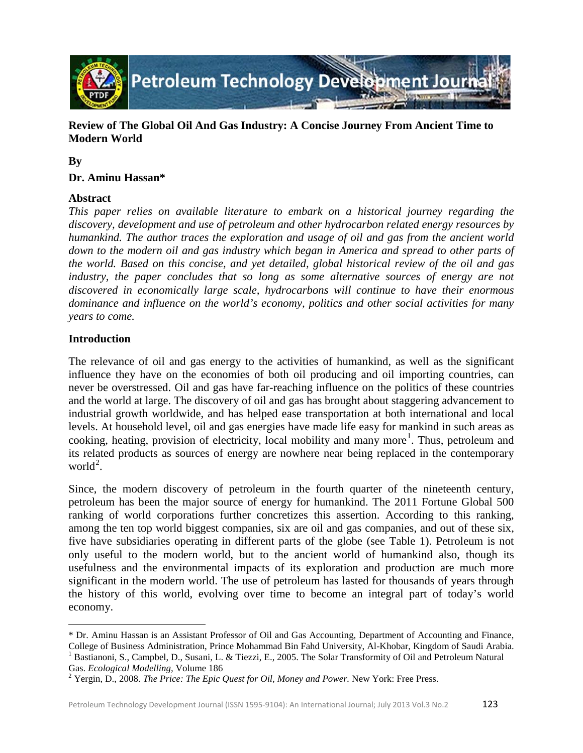

**Review of The Global Oil And Gas Industry: A Concise Journey From Ancient Time to Modern World**

## **By**

## **Dr. Aminu Hassan\***

## **Abstract**

*This paper relies on available literature to embark on a historical journey regarding the discovery, development and use of petroleum and other hydrocarbon related energy resources by humankind. The author traces the exploration and usage of oil and gas from the ancient world down to the modern oil and gas industry which began in America and spread to other parts of the world. Based on this concise, and yet detailed, global historical review of the oil and gas*  industry, the paper concludes that so long as some alternative sources of energy are not *discovered in economically large scale, hydrocarbons will continue to have their enormous dominance and influence on the world's economy, politics and other social activities for many years to come.*

## **Introduction**

The relevance of oil and gas energy to the activities of humankind, as well as the significant influence they have on the economies of both oil producing and oil importing countries, can never be overstressed. Oil and gas have far-reaching influence on the politics of these countries and the world at large. The discovery of oil and gas has brought about staggering advancement to industrial growth worldwide, and has helped ease transportation at both international and local levels. At household level, oil and gas energies have made life easy for mankind in such areas as cooking, heating, provision of electricity, local mobility and many more<sup>[1](#page-0-0)</sup>. Thus, petroleum and its related products as sources of energy are nowhere near being replaced in the contemporary world<sup>[2](#page-0-1)</sup>.

Since, the modern discovery of petroleum in the fourth quarter of the nineteenth century, petroleum has been the major source of energy for humankind. The 2011 Fortune Global 500 ranking of world corporations further concretizes this assertion. According to this ranking, among the ten top world biggest companies, six are oil and gas companies, and out of these six, five have subsidiaries operating in different parts of the globe (see Table 1). Petroleum is not only useful to the modern world, but to the ancient world of humankind also, though its usefulness and the environmental impacts of its exploration and production are much more significant in the modern world. The use of petroleum has lasted for thousands of years through the history of this world, evolving over time to become an integral part of today's world economy.

ı

<span id="page-0-0"></span><sup>\*</sup> Dr. Aminu Hassan is an Assistant Professor of Oil and Gas Accounting, Department of Accounting and Finance, College of Business Administration, Prince Mohammad Bin Fahd University, Al-Khobar, Kingdom of Saudi Arabia.<br><sup>1</sup> Bastianoni, S., Campbel, D., Susani, L. & Tiezzi, E., 2005. The Solar Transformity of Oil and Petroleum Natur

<span id="page-0-1"></span><sup>&</sup>lt;sup>2</sup> Yergin, D., 2008. *The Price: The Epic Quest for Oil, Money and Power*. New York: Free Press.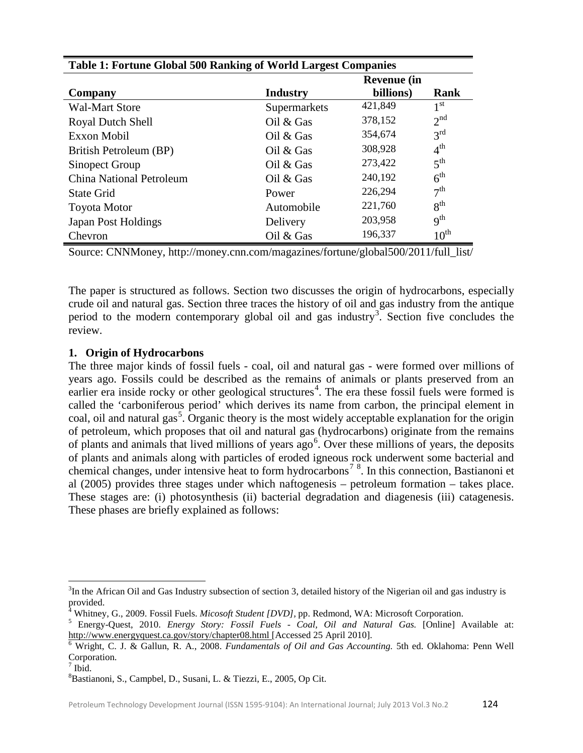| <b>Table 1: Fortune Global 500 Ranking of World Largest Companies</b> |                    |           |                  |  |  |
|-----------------------------------------------------------------------|--------------------|-----------|------------------|--|--|
|                                                                       | <b>Revenue</b> (in |           |                  |  |  |
| Company                                                               | <b>Industry</b>    | billions) | Rank             |  |  |
| <b>Wal-Mart Store</b>                                                 | Supermarkets       | 421,849   | 1 <sup>st</sup>  |  |  |
| <b>Royal Dutch Shell</b>                                              | Oil $&$ Gas        | 378,152   | 2 <sup>nd</sup>  |  |  |
| Exxon Mobil                                                           | Oil $&$ Gas        | 354,674   | 3 <sup>rd</sup>  |  |  |
| British Petroleum (BP)                                                | Oil & Gas          | 308,928   | 4 <sup>th</sup>  |  |  |
| Sinopect Group                                                        | Oil $&$ Gas        | 273,422   | 5 <sup>th</sup>  |  |  |
| <b>China National Petroleum</b>                                       | Oil $&$ Gas        | 240,192   | 6 <sup>th</sup>  |  |  |
| <b>State Grid</b>                                                     | Power              | 226,294   | 7 <sup>th</sup>  |  |  |
| <b>Toyota Motor</b>                                                   | Automobile         | 221,760   | 8 <sup>th</sup>  |  |  |
| <b>Japan Post Holdings</b>                                            | Delivery           | 203,958   | $q^{th}$         |  |  |
| Chevron                                                               | Oil $&$ Gas        | 196,337   | $10^{\text{th}}$ |  |  |

Source: CNNMoney, http://money.cnn.com/magazines/fortune/global500/2011/full\_list/

The paper is structured as follows. Section two discusses the origin of hydrocarbons, especially crude oil and natural gas. Section three traces the history of oil and gas industry from the antique period to the modern contemporary global oil and gas industry<sup>[3](#page-1-0)</sup>. Section five concludes the review.

## **1. Origin of Hydrocarbons**

The three major kinds of fossil fuels - coal, oil and natural gas - were formed over millions of years ago. Fossils could be described as the remains of animals or plants preserved from an earlier era inside rocky or other geological structures<sup>[4](#page-1-1)</sup>. The era these fossil fuels were formed is called the 'carboniferous period' which derives its name from carbon, the principal element in coal, oil and natural gas<sup>[5](#page-1-2)</sup>. Organic theory is the most widely acceptable explanation for the origin of petroleum, which proposes that oil and natural gas (hydrocarbons) originate from the remains of plants and animals that lived millions of years  $ago<sup>6</sup>$  $ago<sup>6</sup>$  $ago<sup>6</sup>$ . Over these millions of years, the deposits of plants and animals along with particles of eroded igneous rock underwent some bacterial and chemical changes, under intensive heat to form hydrocarbons<sup>[7](#page-1-4)[8](#page-1-5)</sup>. In this connection, Bastianoni et al (2005) provides three stages under which naftogenesis – petroleum formation – takes place. These stages are: (i) photosynthesis (ii) bacterial degradation and diagenesis (iii) catagenesis. These phases are briefly explained as follows:

<span id="page-1-0"></span> $3$ In the African Oil and Gas Industry subsection of section 3, detailed history of the Nigerian oil and gas industry is provided.<br><sup>4</sup> Whitney, G., 2009. Fossil Fuels. *Micosoft Student [DVD]*, pp. Redmond, WA: Microsoft Corporation.

<span id="page-1-1"></span>

<span id="page-1-2"></span><sup>&</sup>lt;sup>5</sup> Energy-Quest, 2010. *Energy Story: Fossil Fuels - Coal, Oil and Natural Gas.* [Online] Available at: <http://www.energyquest.ca.gov/story/chapter08.html> [Accessed 25 April 2010]. <sup>6</sup> Wright, C. J. & Gallun, R. A., 2008. *Fundamentals of Oil and Gas Accounting.* 5th ed. Oklahoma: Penn Well

<span id="page-1-3"></span>Corporation.

<span id="page-1-4"></span> $7$  Ibid.

<span id="page-1-5"></span><sup>8</sup> Bastianoni, S., Campbel, D., Susani, L. & Tiezzi, E., 2005, Op Cit.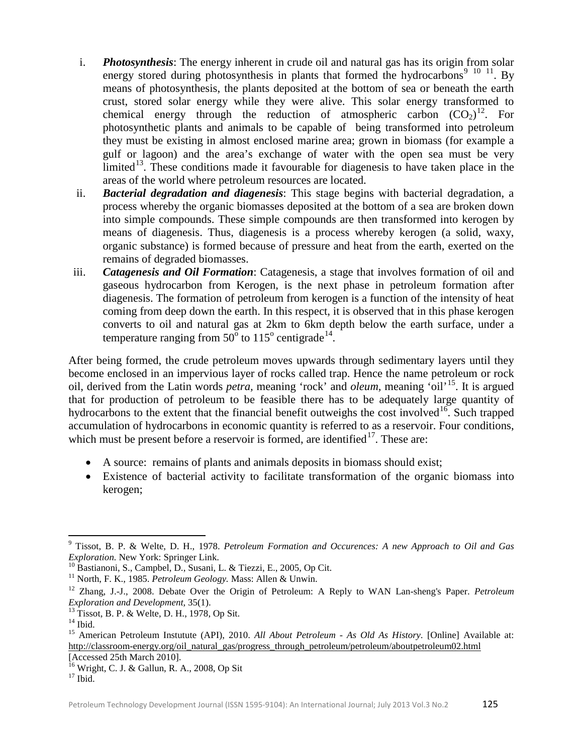- i. *Photosynthesis*: The energy inherent in crude oil and natural gas has its origin from solar energy stored during photosynthesis in plants that formed the hydrocarbons<sup>[9](#page-2-0) [10](#page-2-1) 11</sup>. By means of photosynthesis, the plants deposited at the bottom of sea or beneath the earth crust, stored solar energy while they were alive. This solar energy transformed to chemical energy through the reduction of atmospheric carbon  $(CO_2)^{12}$  $(CO_2)^{12}$  $(CO_2)^{12}$ . For photosynthetic plants and animals to be capable of being transformed into petroleum they must be existing in almost enclosed marine area; grown in biomass (for example a gulf or lagoon) and the area's exchange of water with the open sea must be very limited<sup>[13](#page-2-4)</sup>. These conditions made it favourable for diagenesis to have taken place in the areas of the world where petroleum resources are located.
- ii. *Bacterial degradation and diagenesis*: This stage begins with bacterial degradation, a process whereby the organic biomasses deposited at the bottom of a sea are broken down into simple compounds. These simple compounds are then transformed into kerogen by means of diagenesis. Thus, diagenesis is a process whereby kerogen (a solid, waxy, organic substance) is formed because of pressure and heat from the earth, exerted on the remains of degraded biomasses.
- iii. *Catagenesis and Oil Formation*: Catagenesis, a stage that involves formation of oil and gaseous hydrocarbon from Kerogen, is the next phase in petroleum formation after diagenesis. The formation of petroleum from kerogen is a function of the intensity of heat coming from deep down the earth. In this respect, it is observed that in this phase kerogen converts to oil and natural gas at 2km to 6km depth below the earth surface, under a temperature ranging from  $50^{\circ}$  to  $115^{\circ}$  centigrade<sup>[14](#page-2-5)</sup>.

After being formed, the crude petroleum moves upwards through sedimentary layers until they become enclosed in an impervious layer of rocks called trap. Hence the name petroleum or rock oil, derived from the Latin words *petra,* meaning 'rock' and *oleum,* meaning 'oil' [15](#page-2-6). It is argued that for production of petroleum to be feasible there has to be adequately large quantity of hydrocarbons to the extent that the financial benefit outweighs the cost involved<sup>[16](#page-2-7)</sup>. Such trapped accumulation of hydrocarbons in economic quantity is referred to as a reservoir. Four conditions, which must be present before a reservoir is formed, are identified $17$ . These are:

- A source: remains of plants and animals deposits in biomass should exist;
- Existence of bacterial activity to facilitate transformation of the organic biomass into kerogen;

<span id="page-2-0"></span><sup>9</sup> Tissot, B. P. & Welte, D. H., 1978. *Petroleum Formation and Occurences: A new Approach to Oil and Gas Exploration.* New York: Springer Link.<br><sup>10</sup> Bastianoni, S., Campbel, D., Susani, L. & Tiezzi, E., 2005, Op Cit.<br><sup>11</sup> North, F. K., 1985. *Petroleum Geology*. Mass: Allen & Unwin.

<span id="page-2-1"></span>

<span id="page-2-3"></span><span id="page-2-2"></span><sup>&</sup>lt;sup>12</sup> Zhang, J.-J., 2008. Debate Over the Origin of Petroleum: A Reply to WAN Lan-sheng's Paper. *Petroleum Exploration and Development*, 35(1).

<span id="page-2-6"></span>

<span id="page-2-5"></span><span id="page-2-4"></span><sup>&</sup>lt;sup>13</sup> Tissot, B. P. & Welte, D. H., 1978, Op Sit.<br><sup>14</sup> Ibid. 15 American Petroleum Instutute (API), 2010. *All About Petroleum - As Old As History*. [Online] Available at: [http://classroom-energy.org/oil\\_natural\\_gas/progress\\_through\\_petroleum/petroleum/aboutpetroleum02.html](http://classroom-energy.org/oil_natural_gas/progress_through_petroleum/petroleum/aboutpetroleum02.html) [Accessed 25th March 2010].

<span id="page-2-7"></span><sup>&</sup>lt;sup>16</sup> Wright, C. J. & Gallun, R. A., 2008, Op Sit <sup>17</sup> Ibid.

<span id="page-2-8"></span>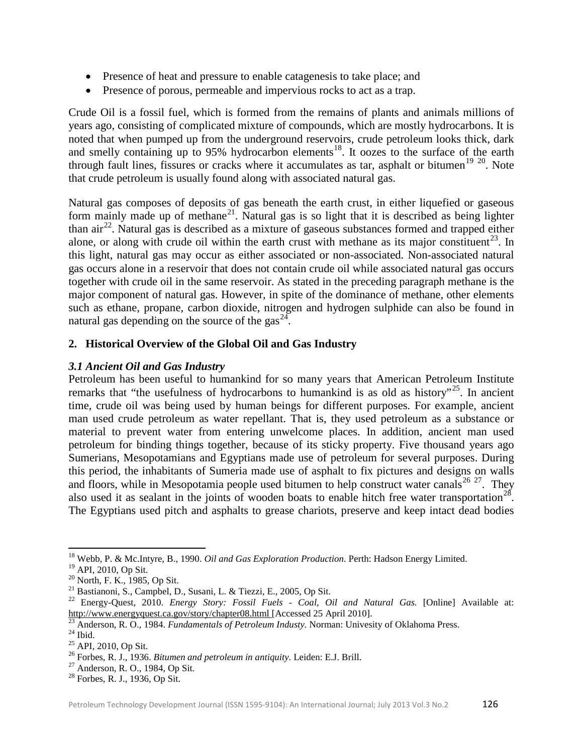- Presence of heat and pressure to enable catagenesis to take place; and
- Presence of porous, permeable and impervious rocks to act as a trap.

Crude Oil is a fossil fuel, which is formed from the remains of plants and animals millions of years ago, consisting of complicated mixture of compounds, which are mostly hydrocarbons. It is noted that when pumped up from the underground reservoirs, crude petroleum looks thick, dark and smelly containing up to 95% hydrocarbon elements<sup>[18](#page-3-0)</sup>. It oozes to the surface of the earth through fault lines, fissures or cracks where it accumulates as tar, asphalt or bitumen<sup>[19](#page-3-1) [20](#page-3-2)</sup>. Note that crude petroleum is usually found along with associated natural gas.

Natural gas composes of deposits of gas beneath the earth crust, in either liquefied or gaseous form mainly made up of methane<sup>[21](#page-3-3)</sup>. Natural gas is so light that it is described as being lighter than  $\sin^{22}$  $\sin^{22}$  $\sin^{22}$ . Natural gas is described as a mixture of gaseous substances formed and trapped either alone, or along with crude oil within the earth crust with methane as its major constituent<sup>[23](#page-3-5)</sup>. In this light, natural gas may occur as either associated or non-associated. Non-associated natural gas occurs alone in a reservoir that does not contain crude oil while associated natural gas occurs together with crude oil in the same reservoir. As stated in the preceding paragraph methane is the major component of natural gas. However, in spite of the dominance of methane, other elements such as ethane, propane, carbon dioxide, nitrogen and hydrogen sulphide can also be found in natural gas depending on the source of the gas $24$ .

## **2. Historical Overview of the Global Oil and Gas Industry**

## *3.1 Ancient Oil and Gas Industry*

Petroleum has been useful to humankind for so many years that American Petroleum Institute remarks that "the usefulness of hydrocarbons to humankind is as old as history"<sup>[25](#page-3-7)</sup>. In ancient time, crude oil was being used by human beings for different purposes. For example, ancient man used crude petroleum as water repellant. That is, they used petroleum as a substance or material to prevent water from entering unwelcome places. In addition, ancient man used petroleum for binding things together, because of its sticky property. Five thousand years ago Sumerians, Mesopotamians and Egyptians made use of petroleum for several purposes. During this period, the inhabitants of Sumeria made use of asphalt to fix pictures and designs on walls and floors, while in Mesopotamia people used bitumen to help construct water canals<sup>[26](#page-3-8) [27](#page-3-9)</sup>. They also used it as sealant in the joints of wooden boats to enable hitch free water transportation<sup>[28](#page-3-10)</sup>. The Egyptians used pitch and asphalts to grease chariots, preserve and keep intact dead bodies

<span id="page-3-0"></span><sup>&</sup>lt;sup>18</sup> Webb, P. & Mc.Intyre, B., 1990. *Oil and Gas Exploration Production*. Perth: Hadson Energy Limited.<br><sup>19</sup> API. 2010. Op Sit.

<span id="page-3-4"></span>

<span id="page-3-3"></span><span id="page-3-2"></span><span id="page-3-1"></span><sup>&</sup>lt;sup>20</sup> North, F. K., 1985, Op Sit.<br><sup>21</sup> Bastianoni, S., Campbel, D., Susani, L. & Tiezzi, E., 2005, Op Sit.<br><sup>21</sup> Energy-Quest, 2010. *Energy Story: Fossil Fuels - Coal, Oil and Natural Gas.* [Online] Available at: <http://www.energyquest.ca.gov/story/chapter08.html> [Accessed 25 April 2010].<br>
<sup>23</sup> Anderson, R. O., 1984. *Fundamentals of Petroleum Industy*. Norman: Univesity of Oklahoma Press.<br>
<sup>24</sup> Ibid.<br>
<sup>25</sup> API, 2010, Op Sit.<br>
<sup>26</sup>

<span id="page-3-5"></span>

<span id="page-3-6"></span>

<span id="page-3-7"></span>

<span id="page-3-8"></span>

<span id="page-3-9"></span>

<span id="page-3-10"></span>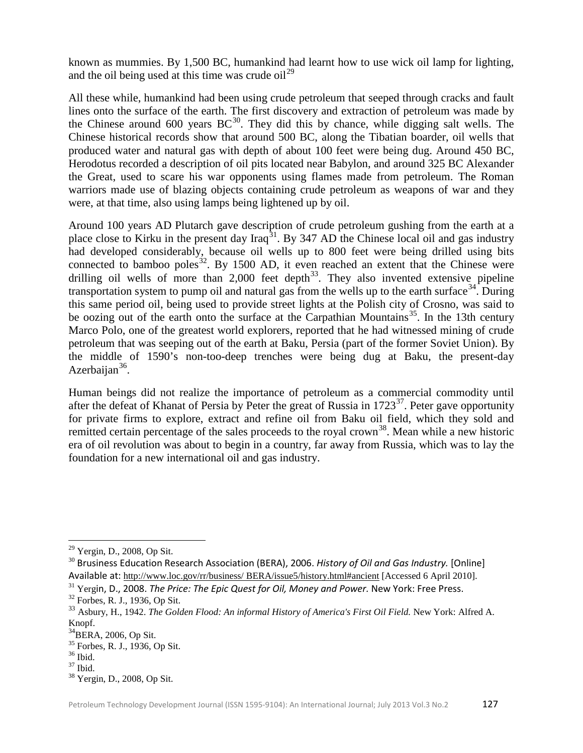known as mummies. By 1,500 BC, humankind had learnt how to use wick oil lamp for lighting, and the oil being used at this time was crude  $\delta u^{29}$  $\delta u^{29}$  $\delta u^{29}$ 

All these while, humankind had been using crude petroleum that seeped through cracks and fault lines onto the surface of the earth. The first discovery and extraction of petroleum was made by the Chinese around 600 years  $BC^{30}$  $BC^{30}$  $BC^{30}$ . They did this by chance, while digging salt wells. The Chinese historical records show that around 500 BC, along the Tibatian boarder, oil wells that produced water and natural gas with depth of about 100 feet were being dug. Around 450 BC, Herodotus recorded a description of oil pits located near Babylon, and around 325 BC Alexander the Great, used to scare his war opponents using flames made from petroleum. The Roman warriors made use of blazing objects containing crude petroleum as weapons of war and they were, at that time, also using lamps being lightened up by oil.

Around 100 years AD Plutarch gave description of crude petroleum gushing from the earth at a place close to Kirku in the present day Iraq<sup>[31](#page-4-2)</sup>. By 347 AD the Chinese local oil and gas industry had developed considerably, because oil wells up to 800 feet were being drilled using bits connected to bamboo poles<sup>[32](#page-4-3)</sup>. By 1500 AD, it even reached an extent that the Chinese were drilling oil wells of more than  $2,000$  feet depth<sup>[33](#page-4-4)</sup>. They also invented extensive pipeline transportation system to pump oil and natural gas from the wells up to the earth surface  $34$ . During this same period oil, being used to provide street lights at the Polish city of Crosno, was said to be oozing out of the earth onto the surface at the Carpathian Mountains<sup>[35](#page-4-6)</sup>. In the 13th century Marco Polo, one of the greatest world explorers, reported that he had witnessed mining of crude petroleum that was seeping out of the earth at Baku, Persia (part of the former Soviet Union). By the middle of 1590's non-too-deep trenches were being dug at Baku, the present-day Azerbaijan<sup>[36](#page-4-7)</sup>.

Human beings did not realize the importance of petroleum as a commercial commodity until after the defeat of Khanat of Persia by Peter the great of Russia in 1723<sup>37</sup>. Peter gave opportunity for private firms to explore, extract and refine oil from Baku oil field, which they sold and remitted certain percentage of the sales proceeds to the royal crown<sup>[38](#page-4-9)</sup>. Mean while a new historic era of oil revolution was about to begin in a country, far away from Russia, which was to lay the foundation for a new international oil and gas industry.

ı

<sup>&</sup>lt;sup>29</sup> Yergin, D., 2008, Op Sit.

<span id="page-4-1"></span><span id="page-4-0"></span><sup>&</sup>lt;sup>30</sup> Brusiness Education Research Association (BERA), 2006. *History of Oil and Gas Industry*. [Online] Available at: [http://www.loc.gov/rr/business/ BERA/issue5/history.html#ancient](http://www.loc.gov/rr/business/%20BERA/issue5/history.html#ancient) [Accessed 6 April 2010].

<span id="page-4-2"></span><sup>31</sup> Yergin, D., 2008. *The Price: The Epic Quest for Oil, Money and Power.* New York: Free Press.

<span id="page-4-3"></span><sup>32</sup> Forbes, R. J., 1936, Op Sit.

<span id="page-4-4"></span><sup>33</sup> Asbury, H., 1942. *The Golden Flood: An informal History of America's First Oil Field.* New York: Alfred A. Knopf.

<span id="page-4-5"></span> $^{34}$ BERA, 2006, Op Sit.<br> $^{35}$  Forbes, R. J., 1936, Op Sit.

<span id="page-4-8"></span><span id="page-4-7"></span><span id="page-4-6"></span>

<span id="page-4-9"></span>

 $\frac{36 \text{}}{37}$  Ibid.<br> $\frac{37 \text{}}{8}$  Yergin, D., 2008, Op Sit.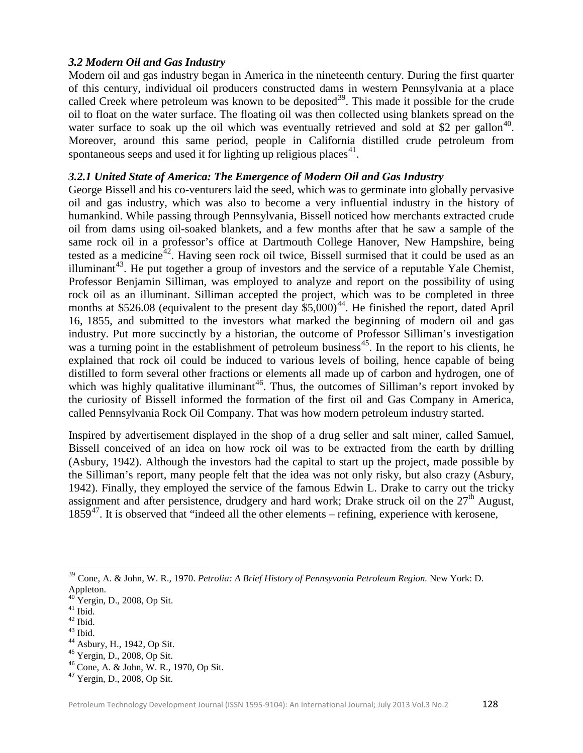## *3.2 Modern Oil and Gas Industry*

Modern oil and gas industry began in America in the nineteenth century. During the first quarter of this century, individual oil producers constructed dams in western Pennsylvania at a place called Creek where petroleum was known to be deposited<sup>[39](#page-5-0)</sup>. This made it possible for the crude oil to float on the water surface. The floating oil was then collected using blankets spread on the water surface to soak up the oil which was eventually retrieved and sold at \$2 per gallon<sup>[40](#page-5-1)</sup>. Moreover, around this same period, people in California distilled crude petroleum from spontaneous seeps and used it for lighting up religious places<sup>[41](#page-5-2)</sup>.

## *3.2.1 United State of America: The Emergence of Modern Oil and Gas Industry*

George Bissell and his co-venturers laid the seed, which was to germinate into globally pervasive oil and gas industry, which was also to become a very influential industry in the history of humankind. While passing through Pennsylvania, Bissell noticed how merchants extracted crude oil from dams using oil-soaked blankets, and a few months after that he saw a sample of the same rock oil in a professor's office at Dartmouth College Hanover, New Hampshire, being tested as a medicine<sup>42</sup>. Having seen rock oil twice, Bissell surmised that it could be used as an illuminant<sup>43</sup>. He put together a group of investors and the service of a reputable Yale Chemist, Professor Benjamin Silliman, was employed to analyze and report on the possibility of using rock oil as an illuminant. Silliman accepted the project, which was to be completed in three months at \$526.08 (equivalent to the present day  $$5,000$ <sup>44</sup>. He finished the report, dated April 16, 1855, and submitted to the investors what marked the beginning of modern oil and gas industry. Put more succinctly by a historian, the outcome of Professor Silliman's investigation was a turning point in the establishment of petroleum business<sup>45</sup>. In the report to his clients, he explained that rock oil could be induced to various levels of boiling, hence capable of being distilled to form several other fractions or elements all made up of carbon and hydrogen, one of which was highly qualitative illuminant<sup>[46](#page-5-7)</sup>. Thus, the outcomes of Silliman's report invoked by the curiosity of Bissell informed the formation of the first oil and Gas Company in America, called Pennsylvania Rock Oil Company. That was how modern petroleum industry started.

Inspired by advertisement displayed in the shop of a drug seller and salt miner, called Samuel, Bissell conceived of an idea on how rock oil was to be extracted from the earth by drilling (Asbury, 1942). Although the investors had the capital to start up the project, made possible by the Silliman's report, many people felt that the idea was not only risky, but also crazy (Asbury, 1942). Finally, they employed the service of the famous Edwin L. Drake to carry out the tricky assignment and after persistence, drudgery and hard work; Drake struck oil on the  $27<sup>th</sup>$  August,  $1859<sup>47</sup>$ . It is observed that "indeed all the other elements – refining, experience with kerosene,

<span id="page-5-0"></span><sup>&</sup>lt;sup>39</sup> Cone, A. & John, W. R., 1970. *Petrolia: A Brief History of Pennsyvania Petroleum Region*. New York: D. Appleton.

<span id="page-5-3"></span>

<span id="page-5-4"></span>

<span id="page-5-5"></span>

<span id="page-5-7"></span><span id="page-5-6"></span>

<span id="page-5-2"></span><span id="page-5-1"></span><sup>&</sup>lt;sup>40</sup> Yergin, D., 2008, Op Sit.<br>
<sup>41</sup> Ibid.<br>
<sup>42</sup> Ibid.<br>
<sup>44</sup> Asbury, H., 1942, Op Sit.<br>
<sup>45</sup> Yergin, D., 2008, Op Sit.<br>
<sup>46</sup> Cone, A. & John, W. R., 1970, Op Sit.<br>
<sup>47</sup> Yergin, D., 2008, Op Sit.

<span id="page-5-8"></span>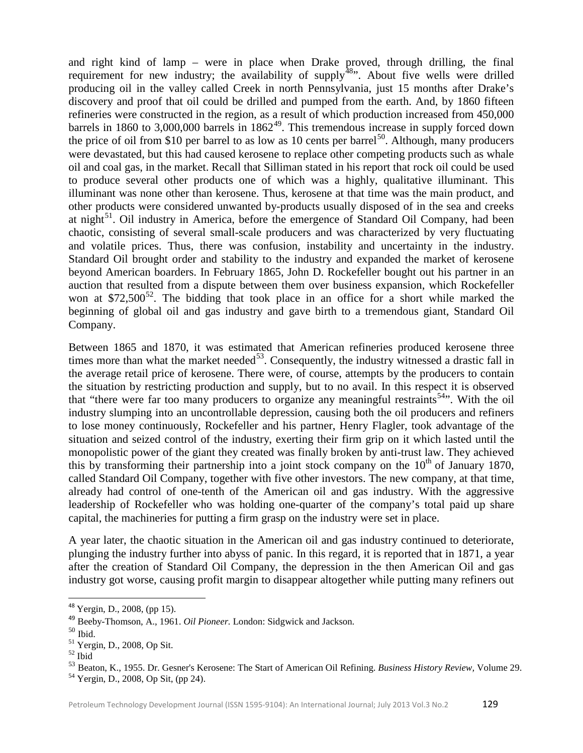and right kind of lamp – were in place when Drake proved, through drilling, the final requirement for new industry; the availability of supply<sup>[48](#page-6-0)</sup>. About five wells were drilled producing oil in the valley called Creek in north Pennsylvania, just 15 months after Drake's discovery and proof that oil could be drilled and pumped from the earth. And, by 1860 fifteen refineries were constructed in the region, as a result of which production increased from 450,000 barrels in 1860 to 3,000,000 barrels in  $1862^{49}$ . This tremendous increase in supply forced down the price of oil from \$10 per barrel to as low as 10 cents per barrel<sup>50</sup>. Although, many producers were devastated, but this had caused kerosene to replace other competing products such as whale oil and coal gas, in the market. Recall that Silliman stated in his report that rock oil could be used to produce several other products one of which was a highly, qualitative illuminant. This illuminant was none other than kerosene. Thus, kerosene at that time was the main product, and other products were considered unwanted by-products usually disposed of in the sea and creeks at night<sup>[51](#page-6-3)</sup>. Oil industry in America, before the emergence of Standard Oil Company, had been chaotic, consisting of several small-scale producers and was characterized by very fluctuating and volatile prices. Thus, there was confusion, instability and uncertainty in the industry. Standard Oil brought order and stability to the industry and expanded the market of kerosene beyond American boarders. In February 1865, John D. Rockefeller bought out his partner in an auction that resulted from a dispute between them over business expansion, which Rockefeller won at \$72,500 $^{52}$  $^{52}$  $^{52}$ . The bidding that took place in an office for a short while marked the beginning of global oil and gas industry and gave birth to a tremendous giant, Standard Oil Company.

Between 1865 and 1870, it was estimated that American refineries produced kerosene three times more than what the market needed<sup>[53](#page-6-5)</sup>. Consequently, the industry witnessed a drastic fall in the average retail price of kerosene. There were, of course, attempts by the producers to contain the situation by restricting production and supply, but to no avail. In this respect it is observed that "there were far too many producers to organize any meaningful restraints<sup>[54](#page-6-6)</sup>". With the oil industry slumping into an uncontrollable depression, causing both the oil producers and refiners to lose money continuously, Rockefeller and his partner, Henry Flagler, took advantage of the situation and seized control of the industry, exerting their firm grip on it which lasted until the monopolistic power of the giant they created was finally broken by anti-trust law. They achieved this by transforming their partnership into a joint stock company on the  $10<sup>th</sup>$  of January 1870, called Standard Oil Company, together with five other investors. The new company, at that time, already had control of one-tenth of the American oil and gas industry. With the aggressive leadership of Rockefeller who was holding one-quarter of the company's total paid up share capital, the machineries for putting a firm grasp on the industry were set in place.

A year later, the chaotic situation in the American oil and gas industry continued to deteriorate, plunging the industry further into abyss of panic. In this regard, it is reported that in 1871, a year after the creation of Standard Oil Company, the depression in the then American Oil and gas industry got worse, causing profit margin to disappear altogether while putting many refiners out

 <sup>48</sup> Yergin, D., 2008, (pp 15).

<span id="page-6-1"></span><span id="page-6-0"></span><sup>49</sup> Beeby-Thomson, A., 1961. *Oil Pioneer.* London: Sidgwick and Jackson.

<span id="page-6-2"></span>

<span id="page-6-3"></span> $^{51}$  Yergin, D., 2008, Op Sit.<br> $^{52}$  Ibid

<span id="page-6-4"></span>

<span id="page-6-5"></span><sup>53</sup> Beaton, K., 1955. Dr. Gesner's Kerosene: The Start of American Oil Refining. *Business History Review,* Volume 29. <sup>54</sup> Yergin, D., 2008, Op Sit, (pp 24).

<span id="page-6-6"></span>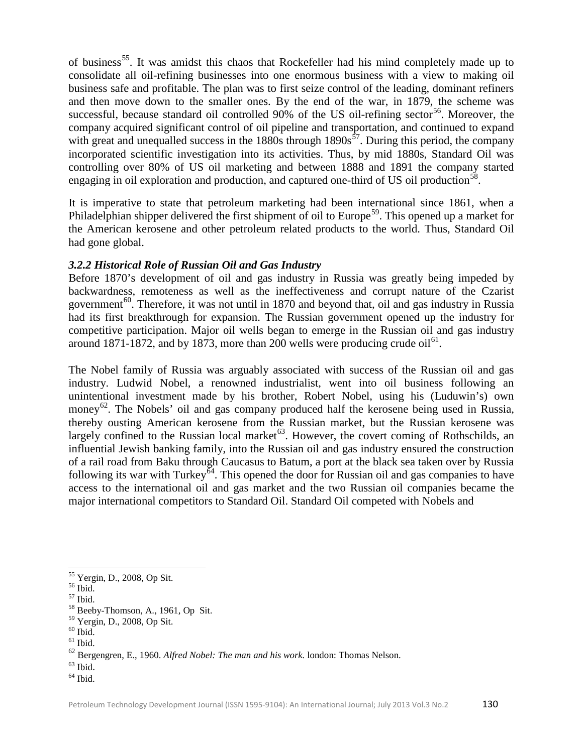of business<sup>[55](#page-7-0)</sup>. It was amidst this chaos that Rockefeller had his mind completely made up to consolidate all oil-refining businesses into one enormous business with a view to making oil business safe and profitable. The plan was to first seize control of the leading, dominant refiners and then move down to the smaller ones. By the end of the war, in 1879, the scheme was successful, because standard oil controlled  $90\%$  of the US oil-refining sector<sup>[56](#page-7-1)</sup>. Moreover, the company acquired significant control of oil pipeline and transportation, and continued to expand with great and unequalled success in the  $1880s$  through  $1890s^{57}$  $1890s^{57}$  $1890s^{57}$ . During this period, the company incorporated scientific investigation into its activities. Thus, by mid 1880s, Standard Oil was controlling over 80% of US oil marketing and between 1888 and 1891 the company started engaging in oil exploration and production, and captured one-third of US oil production<sup>[58](#page-7-3)</sup>.

It is imperative to state that petroleum marketing had been international since 1861, when a Philadelphian shipper delivered the first shipment of oil to Europe<sup>[59](#page-7-4)</sup>. This opened up a market for the American kerosene and other petroleum related products to the world. Thus, Standard Oil had gone global.

## *3.2.2 Historical Role of Russian Oil and Gas Industry*

Before 1870's development of oil and gas industry in Russia was greatly being impeded by backwardness, remoteness as well as the ineffectiveness and corrupt nature of the Czarist government<sup>[60](#page-7-5)</sup>. Therefore, it was not until in 1870 and beyond that, oil and gas industry in Russia had its first breakthrough for expansion. The Russian government opened up the industry for competitive participation. Major oil wells began to emerge in the Russian oil and gas industry around 1871-1872, and by 1873, more than 200 wells were producing crude  $\delta$ i<sup>[61](#page-7-6)</sup>.

The Nobel family of Russia was arguably associated with success of the Russian oil and gas industry. Ludwid Nobel, a renowned industrialist, went into oil business following an unintentional investment made by his brother, Robert Nobel, using his (Luduwin's) own money<sup>[62](#page-7-7)</sup>. The Nobels' oil and gas company produced half the kerosene being used in Russia, thereby ousting American kerosene from the Russian market, but the Russian kerosene was largely confined to the Russian local market<sup> $63$ </sup>. However, the covert coming of Rothschilds, an influential Jewish banking family, into the Russian oil and gas industry ensured the construction of a rail road from Baku through Caucasus to Batum, a port at the black sea taken over by Russia following its war with Turkey<sup> $64$ </sup>. This opened the door for Russian oil and gas companies to have access to the international oil and gas market and the two Russian oil companies became the major international competitors to Standard Oil. Standard Oil competed with Nobels and

<span id="page-7-8"></span> $63$  Ibid.

<span id="page-7-0"></span><sup>&</sup>lt;sup>55</sup> Yergin, D., 2008, Op Sit.

<span id="page-7-2"></span>

<span id="page-7-1"></span> $55 \text{ Ibid.}$ <br>  $57 \text{ Ibid.}$ <br>  $58 \text{ Beeby-Thomson, A., 1961, Op Sit.}$ 

<span id="page-7-5"></span><span id="page-7-4"></span><span id="page-7-3"></span> $^{59}_{60}$  Yergin, D., 2008, Op Sit.  $^{60}_{61}$  Ibid.

<span id="page-7-7"></span><span id="page-7-6"></span><sup>62</sup> Bergengren, E., 1960. *Alfred Nobel: The man and his work.* london: Thomas Nelson.

<span id="page-7-9"></span> $<sup>64</sup>$  Ibid.</sup>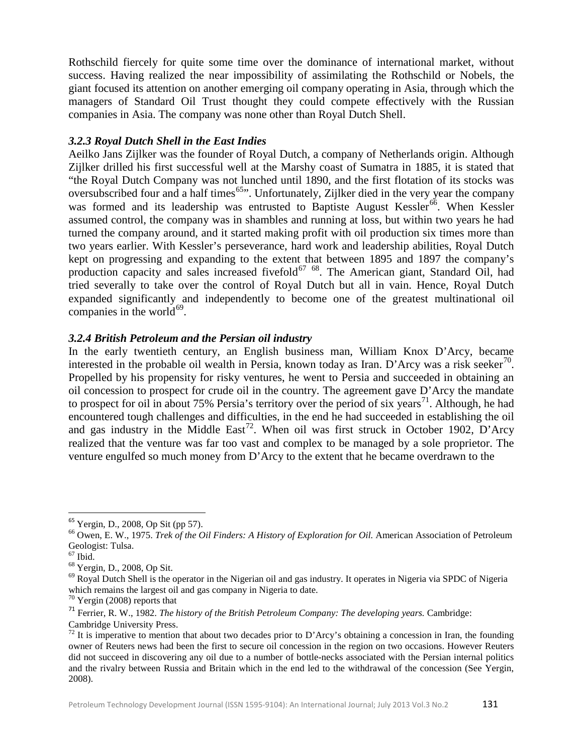Rothschild fiercely for quite some time over the dominance of international market, without success. Having realized the near impossibility of assimilating the Rothschild or Nobels, the giant focused its attention on another emerging oil company operating in Asia, through which the managers of Standard Oil Trust thought they could compete effectively with the Russian companies in Asia. The company was none other than Royal Dutch Shell.

## *3.2.3 Royal Dutch Shell in the East Indies*

Aeilko Jans Zijlker was the founder of Royal Dutch, a company of Netherlands origin. Although Zijlker drilled his first successful well at the Marshy coast of Sumatra in 1885, it is stated that "the Royal Dutch Company was not lunched until 1890, and the first flotation of its stocks was oversubscribed four and a half times<sup>65</sup>". Unfortunately, Zijlker died in the very year the company was formed and its leadership was entrusted to Baptiste August Kessler<sup>[66](#page-8-1)</sup>. When Kessler assumed control, the company was in shambles and running at loss, but within two years he had turned the company around, and it started making profit with oil production six times more than two years earlier. With Kessler's perseverance, hard work and leadership abilities, Royal Dutch kept on progressing and expanding to the extent that between 1895 and 1897 the company's production capacity and sales increased fivefold $^{67}$  $^{67}$  $^{67}$   $^{68}$ . The American giant, Standard Oil, had tried severally to take over the control of Royal Dutch but all in vain. Hence, Royal Dutch expanded significantly and independently to become one of the greatest multinational oil companies in the world $^{69}$  $^{69}$  $^{69}$ .

## *3.2.4 British Petroleum and the Persian oil industry*

In the early twentieth century, an English business man, William Knox D'Arcy, became interested in the probable oil wealth in Persia, known today as Iran. D'Arcy was a risk seeker<sup>[70](#page-8-5)</sup>. Propelled by his propensity for risky ventures, he went to Persia and succeeded in obtaining an oil concession to prospect for crude oil in the country. The agreement gave D'Arcy the mandate to prospect for oil in about 75% Persia's territory over the period of six years<sup>[71](#page-8-6)</sup>. Although, he had encountered tough challenges and difficulties, in the end he had succeeded in establishing the oil and gas industry in the Middle East<sup>[72](#page-8-7)</sup>. When oil was first struck in October 1902, D'Arcy realized that the venture was far too vast and complex to be managed by a sole proprietor. The venture engulfed so much money from D'Arcy to the extent that he became overdrawn to the

Petroleum Technology Development Journal (ISSN 1595-9104): An International Journal; July 2013 Vol.3 No.2 131

<span id="page-8-1"></span><span id="page-8-0"></span><sup>&</sup>lt;sup>65</sup> Yergin, D., 2008, Op Sit (pp 57).<br><sup>66</sup> Owen, E. W., 1975. *Trek of the Oil Finders: A History of Exploration for Oil.* American Association of Petroleum Geologist: Tulsa.<br><sup>67</sup> Ibid.

<span id="page-8-4"></span><span id="page-8-3"></span><span id="page-8-2"></span><sup>&</sup>lt;sup>68</sup> Yergin, D., 2008, Op Sit.<br><sup>69</sup> Royal Dutch Shell is the operator in the Nigerian oil and gas industry. It operates in Nigeria via SPDC of Nigeria which remains the largest oil and gas company in Nigeria to date.<br><sup>70</sup> Yergin (2008) reports that

<span id="page-8-6"></span><span id="page-8-5"></span><sup>&</sup>lt;sup>71</sup> Ferrier, R. W., 1982. *The history of the British Petroleum Company: The developing years.* Cambridge: Cambridge University Press.

<span id="page-8-7"></span> $72$  It is imperative to mention that about two decades prior to D'Arcy's obtaining a concession in Iran, the founding owner of Reuters news had been the first to secure oil concession in the region on two occasions. However Reuters did not succeed in discovering any oil due to a number of bottle-necks associated with the Persian internal politics and the rivalry between Russia and Britain which in the end led to the withdrawal of the concession (See Yergin, 2008).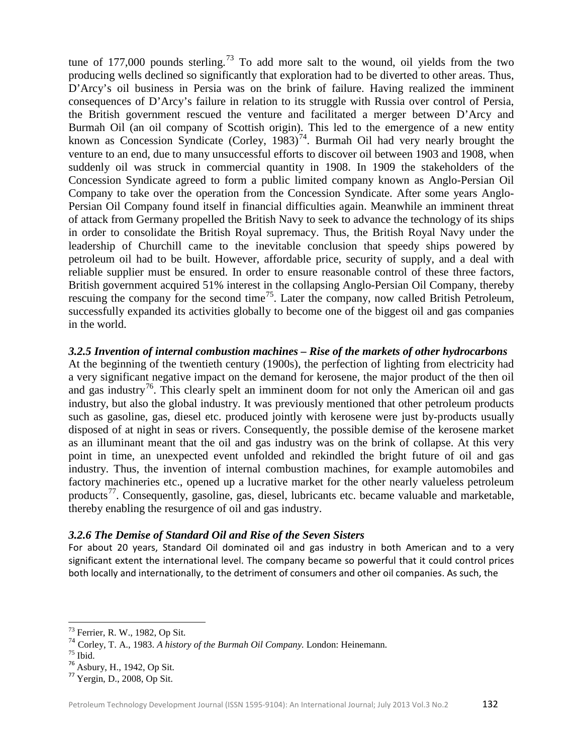tune of 177,000 pounds sterling.<sup>[73](#page-9-0)</sup> To add more salt to the wound, oil yields from the two producing wells declined so significantly that exploration had to be diverted to other areas. Thus, D'Arcy's oil business in Persia was on the brink of failure. Having realized the imminent consequences of D'Arcy's failure in relation to its struggle with Russia over control of Persia, the British government rescued the venture and facilitated a merger between D'Arcy and Burmah Oil (an oil company of Scottish origin). This led to the emergence of a new entity known as Concession Syndicate (Corley,  $1983$ )<sup>[74](#page-9-1)</sup>. Burmah Oil had very nearly brought the venture to an end, due to many unsuccessful efforts to discover oil between 1903 and 1908, when suddenly oil was struck in commercial quantity in 1908. In 1909 the stakeholders of the Concession Syndicate agreed to form a public limited company known as Anglo-Persian Oil Company to take over the operation from the Concession Syndicate. After some years Anglo-Persian Oil Company found itself in financial difficulties again. Meanwhile an imminent threat of attack from Germany propelled the British Navy to seek to advance the technology of its ships in order to consolidate the British Royal supremacy. Thus, the British Royal Navy under the leadership of Churchill came to the inevitable conclusion that speedy ships powered by petroleum oil had to be built. However, affordable price, security of supply, and a deal with reliable supplier must be ensured. In order to ensure reasonable control of these three factors, British government acquired 51% interest in the collapsing Anglo-Persian Oil Company, thereby rescuing the company for the second time<sup>[75](#page-9-2)</sup>. Later the company, now called British Petroleum, successfully expanded its activities globally to become one of the biggest oil and gas companies in the world.

## *3.2.5 Invention of internal combustion machines – Rise of the markets of other hydrocarbons*

At the beginning of the twentieth century (1900s), the perfection of lighting from electricity had a very significant negative impact on the demand for kerosene, the major product of the then oil and gas industry<sup>[76](#page-9-3)</sup>. This clearly spelt an imminent doom for not only the American oil and gas industry, but also the global industry. It was previously mentioned that other petroleum products such as gasoline, gas, diesel etc. produced jointly with kerosene were just by-products usually disposed of at night in seas or rivers. Consequently, the possible demise of the kerosene market as an illuminant meant that the oil and gas industry was on the brink of collapse. At this very point in time, an unexpected event unfolded and rekindled the bright future of oil and gas industry. Thus, the invention of internal combustion machines, for example automobiles and factory machineries etc., opened up a lucrative market for the other nearly valueless petroleum products<sup>[77](#page-9-4)</sup>. Consequently, gasoline, gas, diesel, lubricants etc. became valuable and marketable, thereby enabling the resurgence of oil and gas industry.

#### *3.2.6 The Demise of Standard Oil and Rise of the Seven Sisters*

For about 20 years, Standard Oil dominated oil and gas industry in both American and to a very significant extent the international level. The company became so powerful that it could control prices both locally and internationally, to the detriment of consumers and other oil companies. As such, the

<span id="page-9-0"></span><sup>73</sup> Ferrier, R. W., 1982, Op Sit.

<span id="page-9-1"></span><sup>&</sup>lt;sup>74</sup> Corley, T. A., 1983. *A history of the Burmah Oil Company*. London: Heinemann.<br><sup>75</sup> Ibid. <sup>76</sup> Asbury, H., 1942, Op Sit. <sup>77</sup> Yergin, D., 2008, Op Sit.

<span id="page-9-2"></span>

<span id="page-9-3"></span>

<span id="page-9-4"></span>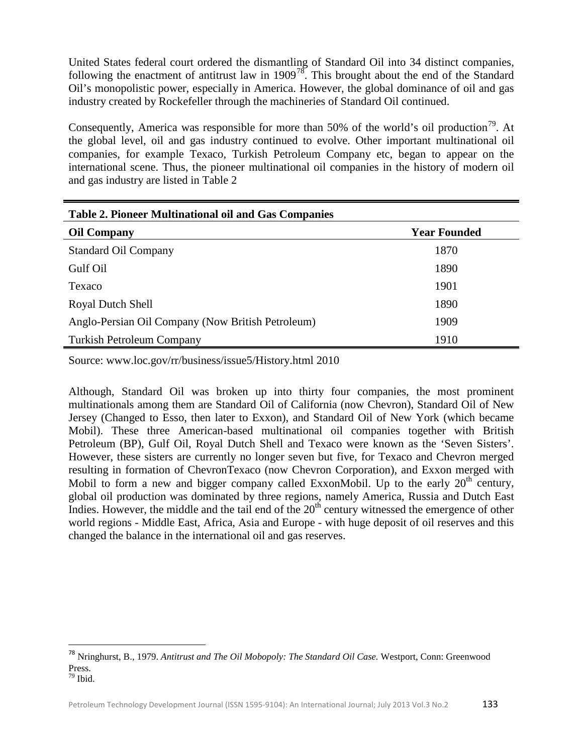United States federal court ordered the dismantling of Standard Oil into 34 distinct companies, following the enactment of antitrust law in  $1909^{78}$ . This brought about the end of the Standard Oil's monopolistic power, especially in America. However, the global dominance of oil and gas industry created by Rockefeller through the machineries of Standard Oil continued.

Consequently, America was responsible for more than 50% of the world's oil production<sup>[79](#page-10-1)</sup>. At the global level, oil and gas industry continued to evolve. Other important multinational oil companies, for example Texaco, Turkish Petroleum Company etc, began to appear on the international scene. Thus, the pioneer multinational oil companies in the history of modern oil and gas industry are listed in Table 2

| <b>Table 2. Pioneer Multinational oil and Gas Companies</b> |                     |  |  |  |
|-------------------------------------------------------------|---------------------|--|--|--|
| <b>Oil Company</b>                                          | <b>Year Founded</b> |  |  |  |
| <b>Standard Oil Company</b>                                 | 1870                |  |  |  |
| Gulf Oil                                                    | 1890                |  |  |  |
| Texaco                                                      | 1901                |  |  |  |
| Royal Dutch Shell                                           | 1890                |  |  |  |
| Anglo-Persian Oil Company (Now British Petroleum)           | 1909                |  |  |  |
| <b>Turkish Petroleum Company</b>                            | 1910                |  |  |  |

Source: www.loc.gov/rr/business/issue5/History.html 2010

Although, Standard Oil was broken up into thirty four companies, the most prominent multinationals among them are Standard Oil of California (now Chevron), Standard Oil of New Jersey (Changed to Esso, then later to Exxon), and Standard Oil of New York (which became Mobil). These three American-based multinational oil companies together with British Petroleum (BP), Gulf Oil, Royal Dutch Shell and Texaco were known as the 'Seven Sisters'. However, these sisters are currently no longer seven but five, for Texaco and Chevron merged resulting in formation of ChevronTexaco (now Chevron Corporation), and Exxon merged with Mobil to form a new and bigger company called ExxonMobil. Up to the early  $20<sup>th</sup>$  century, global oil production was dominated by three regions, namely America, Russia and Dutch East Indies. However, the middle and the tail end of the  $20<sup>th</sup>$  century witnessed the emergence of other world regions - Middle East, Africa, Asia and Europe - with huge deposit of oil reserves and this changed the balance in the international oil and gas reserves.

<span id="page-10-1"></span><span id="page-10-0"></span> <sup>78</sup> Nringhurst, B., 1979. *Antitrust and The Oil Mobopoly: The Standard Oil Case.* Westport, Conn: Greenwood Press. <sup>79</sup> Ibid.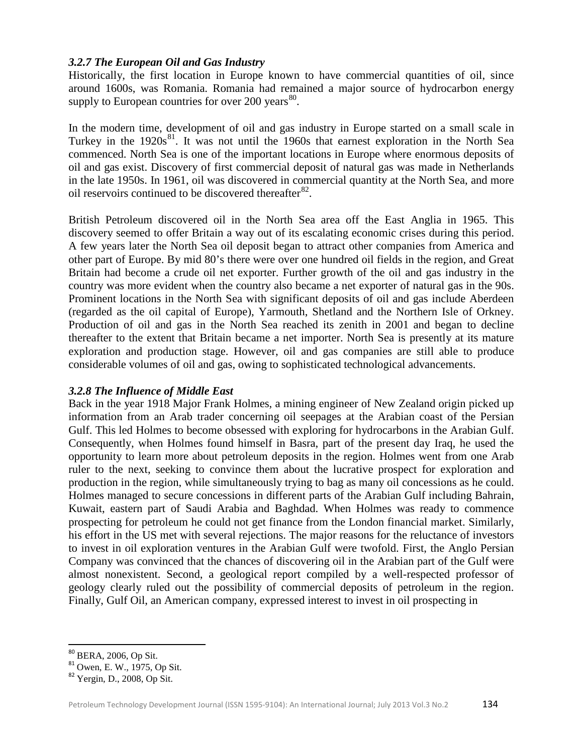## *3.2.7 The European Oil and Gas Industry*

Historically, the first location in Europe known to have commercial quantities of oil, since around 1600s, was Romania. Romania had remained a major source of hydrocarbon energy supply to European countries for over 200 years $^{80}$  $^{80}$  $^{80}$ .

In the modern time, development of oil and gas industry in Europe started on a small scale in Turkey in the 1920s<sup>[81](#page-11-1)</sup>. It was not until the 1960s that earnest exploration in the North Sea commenced. North Sea is one of the important locations in Europe where enormous deposits of oil and gas exist. Discovery of first commercial deposit of natural gas was made in Netherlands in the late 1950s. In 1961, oil was discovered in commercial quantity at the North Sea, and more oil reservoirs continued to be discovered thereafter $^{82}$  $^{82}$  $^{82}$ .

British Petroleum discovered oil in the North Sea area off the East Anglia in 1965. This discovery seemed to offer Britain a way out of its escalating economic crises during this period. A few years later the North Sea oil deposit began to attract other companies from America and other part of Europe. By mid 80's there were over one hundred oil fields in the region, and Great Britain had become a crude oil net exporter. Further growth of the oil and gas industry in the country was more evident when the country also became a net exporter of natural gas in the 90s. Prominent locations in the North Sea with significant deposits of oil and gas include Aberdeen (regarded as the oil capital of Europe), Yarmouth, Shetland and the Northern Isle of Orkney. Production of oil and gas in the North Sea reached its zenith in 2001 and began to decline thereafter to the extent that Britain became a net importer. North Sea is presently at its mature exploration and production stage. However, oil and gas companies are still able to produce considerable volumes of oil and gas, owing to sophisticated technological advancements.

# *3.2.8 The Influence of Middle East*

Back in the year 1918 Major Frank Holmes, a mining engineer of New Zealand origin picked up information from an Arab trader concerning oil seepages at the Arabian coast of the Persian Gulf. This led Holmes to become obsessed with exploring for hydrocarbons in the Arabian Gulf. Consequently, when Holmes found himself in Basra, part of the present day Iraq, he used the opportunity to learn more about petroleum deposits in the region. Holmes went from one Arab ruler to the next, seeking to convince them about the lucrative prospect for exploration and production in the region, while simultaneously trying to bag as many oil concessions as he could. Holmes managed to secure concessions in different parts of the Arabian Gulf including Bahrain, Kuwait, eastern part of Saudi Arabia and Baghdad. When Holmes was ready to commence prospecting for petroleum he could not get finance from the London financial market. Similarly, his effort in the US met with several rejections. The major reasons for the reluctance of investors to invest in oil exploration ventures in the Arabian Gulf were twofold. First, the Anglo Persian Company was convinced that the chances of discovering oil in the Arabian part of the Gulf were almost nonexistent. Second, a geological report compiled by a well-respected professor of geology clearly ruled out the possibility of commercial deposits of petroleum in the region. Finally, Gulf Oil, an American company, expressed interest to invest in oil prospecting in

<span id="page-11-1"></span><span id="page-11-0"></span><sup>&</sup>lt;sup>80</sup> BERA, 2006, Op Sit.<br><sup>81</sup> Owen, E. W., 1975, Op Sit.<br><sup>82</sup> Yergin, D., 2008, Op Sit.

<span id="page-11-2"></span>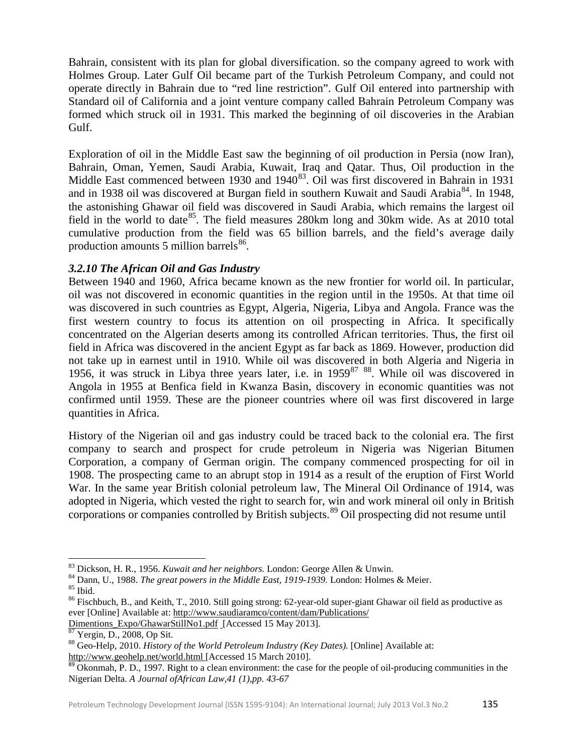Bahrain, consistent with its plan for global diversification. so the company agreed to work with Holmes Group. Later Gulf Oil became part of the Turkish Petroleum Company, and could not operate directly in Bahrain due to "red line restriction". Gulf Oil entered into partnership with Standard oil of California and a joint venture company called Bahrain Petroleum Company was formed which struck oil in 1931. This marked the beginning of oil discoveries in the Arabian Gulf.

Exploration of oil in the Middle East saw the beginning of oil production in Persia (now Iran), Bahrain, Oman, Yemen, Saudi Arabia, Kuwait, Iraq and Qatar. Thus, Oil production in the Middle East commenced between 1930 and  $1940^{83}$ . Oil was first discovered in Bahrain in 1931 and in 1938 oil was discovered at Burgan field in southern Kuwait and Saudi Arabia<sup>[84](#page-12-1)</sup>. In 1948, the astonishing Ghawar oil field was discovered in Saudi Arabia, which remains the largest oil field in the world to date<sup>[85](#page-12-2)</sup>. The field measures 280km long and 30km wide. As at 2010 total cumulative production from the field was 65 billion barrels, and the field's average daily production amounts 5 million barrels $^{86}$  $^{86}$  $^{86}$ .

## *3.2.10 The African Oil and Gas Industry*

Between 1940 and 1960, Africa became known as the new frontier for world oil. In particular, oil was not discovered in economic quantities in the region until in the 1950s. At that time oil was discovered in such countries as Egypt, Algeria, Nigeria, Libya and Angola. France was the first western country to focus its attention on oil prospecting in Africa. It specifically concentrated on the Algerian deserts among its controlled African territories. Thus, the first oil field in Africa was discovered in the ancient Egypt as far back as 1869. However, production did not take up in earnest until in 1910. While oil was discovered in both Algeria and Nigeria in 1956, it was struck in Libya three years later, i.e. in  $1959^{87}$  $1959^{87}$  $1959^{87}$  <sup>[88](#page-12-5)</sup>. While oil was discovered in Angola in 1955 at Benfica field in Kwanza Basin, discovery in economic quantities was not confirmed until 1959. These are the pioneer countries where oil was first discovered in large quantities in Africa.

History of the Nigerian oil and gas industry could be traced back to the colonial era. The first company to search and prospect for crude petroleum in Nigeria was Nigerian Bitumen Corporation, a company of German origin. The company commenced prospecting for oil in 1908. The prospecting came to an abrupt stop in 1914 as a result of the eruption of First World War. In the same year British colonial petroleum law, The Mineral Oil Ordinance of 1914, was adopted in Nigeria, which vested the right to search for, win and work mineral oil only in British corporations or companies controlled by British subjects. [89](#page-12-6) Oil prospecting did not resume until

<span id="page-12-1"></span><span id="page-12-0"></span><sup>&</sup>lt;sup>83</sup> Dickson, H. R., 1956. *Kuwait and her neighbors*. London: George Allen & Unwin.<br><sup>84</sup> Dann, U., 1988. *The great powers in the Middle East, 1919-1939*. London: Holmes & Meier.<br><sup>85</sup> Ibid.<br><sup>86</sup> Fischbuch, B., and Keith,

<span id="page-12-2"></span>

<span id="page-12-3"></span>ever [Online] Available at: [http://www.saudiaramco/content/dam/Publications/](http://www.saudiaramco/content/dam/Publications/%20Dimentions_Expo/GhawarStillNo1.pdf) 

<span id="page-12-5"></span>

<span id="page-12-4"></span>[Dimentions\\_Expo/GhawarStillNo1.pdf](http://www.saudiaramco/content/dam/Publications/%20Dimentions_Expo/GhawarStillNo1.pdf) [Accessed 15 May 2013].<br><sup>87</sup> Yergin, D., 2008, Op Sit. 88 Geo-Help, 2010. *History of the World Petroleum Industry (Key Dates).* [Online] Available at: <http://www.geohelp.net/world.html> [Accessed 15 March 2010].<br><sup>89</sup> Okonmah, P. D., 1997. Right to a clean environment: the case for the people of oil-producing communities in the

<span id="page-12-6"></span>Nigerian Delta. *A Journal ofAfrican Law,41 (1),pp. 43-67*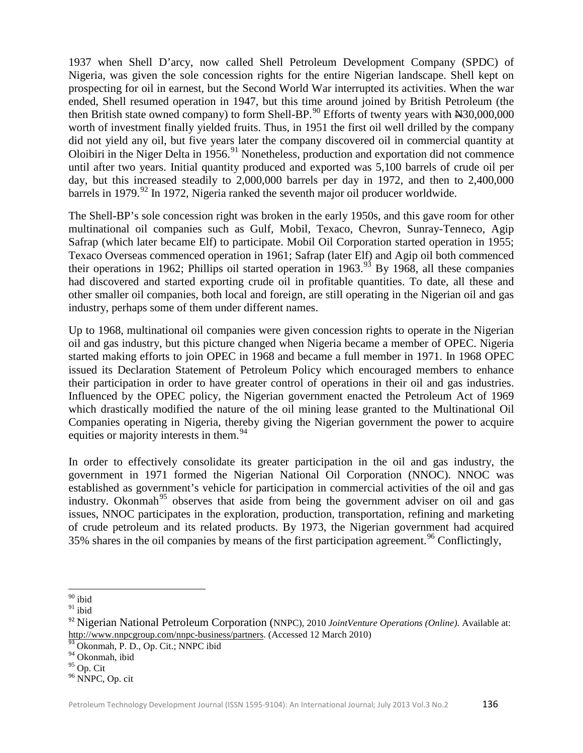1937 when Shell D'arcy, now called Shell Petroleum Development Company (SPDC) of Nigeria, was given the sole concession rights for the entire Nigerian landscape. Shell kept on prospecting for oil in earnest, but the Second World War interrupted its activities. When the war ended, Shell resumed operation in 1947, but this time around joined by British Petroleum (the then British state owned company) to form Shell-BP.<sup>[90](#page-13-0)</sup> Efforts of twenty years with N30,000,000 worth of investment finally yielded fruits. Thus, in 1951 the first oil well drilled by the company did not yield any oil, but five years later the company discovered oil in commercial quantity at Oloibiri in the Niger Delta in 1956.<sup>[91](#page-13-1)</sup> Nonetheless, production and exportation did not commence until after two years. Initial quantity produced and exported was 5,100 barrels of crude oil per day, but this increased steadily to 2,000,000 barrels per day in 1972, and then to 2,400,000 barrels in 1979.<sup>[92](#page-13-2)</sup> In 1972, Nigeria ranked the seventh major oil producer worldwide.

The Shell-BP's sole concession right was broken in the early 1950s, and this gave room for other multinational oil companies such as Gulf, Mobil, Texaco, Chevron, Sunray-Tenneco, Agip Safrap (which later became Elf) to participate. Mobil Oil Corporation started operation in 1955; Texaco Overseas commenced operation in 1961; Safrap (later Elf) and Agip oil both commenced their operations in 1962; Phillips oil started operation in 1963.<sup>[93](#page-13-3)</sup> By 1968, all these companies had discovered and started exporting crude oil in profitable quantities. To date, all these and other smaller oil companies, both local and foreign, are still operating in the Nigerian oil and gas industry, perhaps some of them under different names.

Up to 1968, multinational oil companies were given concession rights to operate in the Nigerian oil and gas industry, but this picture changed when Nigeria became a member of OPEC. Nigeria started making efforts to join OPEC in 1968 and became a full member in 1971. In 1968 OPEC issued its Declaration Statement of Petroleum Policy which encouraged members to enhance their participation in order to have greater control of operations in their oil and gas industries. Influenced by the OPEC policy, the Nigerian government enacted the Petroleum Act of 1969 which drastically modified the nature of the oil mining lease granted to the Multinational Oil Companies operating in Nigeria, thereby giving the Nigerian government the power to acquire equities or majority interests in them.<sup>[94](#page-13-4)</sup>

In order to effectively consolidate its greater participation in the oil and gas industry, the government in 1971 formed the Nigerian National Oil Corporation (NNOC). NNOC was established as government's vehicle for participation in commercial activities of the oil and gas industry. Okonmah<sup>[95](#page-13-5)</sup> observes that aside from being the government adviser on oil and gas issues, NNOC participates in the exploration, production, transportation, refining and marketing of crude petroleum and its related products. By 1973, the Nigerian government had acquired 35% shares in the oil companies by means of the first participation agreement.<sup>[96](#page-13-6)</sup> Conflictingly,

ı  $90$  ibid

<span id="page-13-1"></span><span id="page-13-0"></span> $91$  ibid

<span id="page-13-2"></span><sup>92</sup> Nigerian National Petroleum Corporation (NNPC), 2010 *JointVenture Operations (Online).* Available at: [http://www.nnpcgroup.com/nnpc-business/partners.](http://www.nnpcgroup.com/nnpc-business/partners) (Accessed 12 March 2010) 93 Okonmah, P. D., Op. Cit.; NNPC ibid

<span id="page-13-3"></span>

<span id="page-13-4"></span> $\frac{94}{95}$  Okonmah, ibid<br> $\frac{95}{95}$  Op. Cit

<span id="page-13-5"></span>

<span id="page-13-6"></span><sup>&</sup>lt;sup>96</sup> NNPC, Op. cit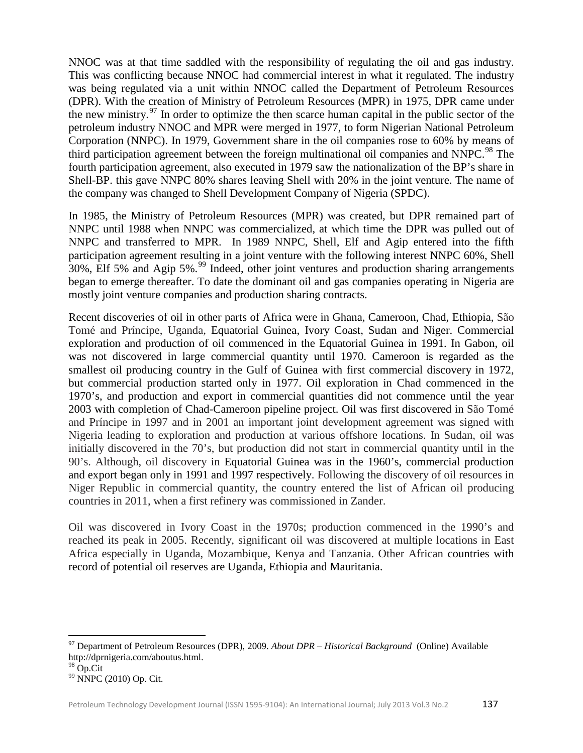NNOC was at that time saddled with the responsibility of regulating the oil and gas industry. This was conflicting because NNOC had commercial interest in what it regulated. The industry was being regulated via a unit within NNOC called the Department of Petroleum Resources (DPR). With the creation of Ministry of Petroleum Resources (MPR) in 1975, DPR came under the new ministry.<sup>[97](#page-14-0)</sup> In order to optimize the then scarce human capital in the public sector of the petroleum industry NNOC and MPR were merged in 1977, to form Nigerian National Petroleum Corporation (NNPC). In 1979, Government share in the oil companies rose to 60% by means of third participation agreement between the foreign multinational oil companies and NNPC.<sup>[98](#page-14-1)</sup> The fourth participation agreement, also executed in 1979 saw the nationalization of the BP's share in Shell-BP. this gave NNPC 80% shares leaving Shell with 20% in the joint venture. The name of the company was changed to Shell Development Company of Nigeria (SPDC).

In 1985, the Ministry of Petroleum Resources (MPR) was created, but DPR remained part of NNPC until 1988 when NNPC was commercialized, at which time the DPR was pulled out of NNPC and transferred to MPR. In 1989 NNPC, Shell, Elf and Agip entered into the fifth participation agreement resulting in a joint venture with the following interest NNPC 60%, Shell 30%, Elf 5% and Agip 5%.<sup>[99](#page-14-2)</sup> Indeed, other joint ventures and production sharing arrangements began to emerge thereafter. To date the dominant oil and gas companies operating in Nigeria are mostly joint venture companies and production sharing contracts.

Recent discoveries of oil in other parts of Africa were in Ghana, Cameroon, Chad, Ethiopia, São Tomé and Príncipe, Uganda, Equatorial Guinea, Ivory Coast, Sudan and Niger. Commercial exploration and production of oil commenced in the Equatorial Guinea in 1991. In Gabon, oil was not discovered in large commercial quantity until 1970. Cameroon is regarded as the smallest oil producing country in the Gulf of Guinea with first commercial discovery in 1972, but commercial production started only in 1977. Oil exploration in Chad commenced in the 1970's, and production and export in commercial quantities did not commence until the year 2003 with completion of Chad-Cameroon pipeline project. Oil was first discovered in São Tomé and Príncipe in 1997 and in 2001 an important joint development agreement was signed with Nigeria leading to exploration and production at various offshore locations. In Sudan, oil was initially discovered in the 70's, but production did not start in commercial quantity until in the 90's. Although, oil discovery in Equatorial Guinea was in the 1960's, commercial production and export began only in 1991 and 1997 respectively. Following the discovery of oil resources in Niger Republic in commercial quantity, the country entered the list of African oil producing countries in 2011, when a first refinery was commissioned in Zander.

Oil was discovered in Ivory Coast in the 1970s; production commenced in the 1990's and reached its peak in 2005. Recently, significant oil was discovered at multiple locations in East Africa especially in Uganda, Mozambique, Kenya and Tanzania. Other African countries with record of potential oil reserves are Uganda, Ethiopia and Mauritania.

ı

<span id="page-14-0"></span><sup>97</sup> Department of Petroleum Resources (DPR), 2009. *About DPR – Historical Background* (Online) Available http://dprnigeria.com/aboutus.html.

<span id="page-14-1"></span>

<span id="page-14-2"></span><sup>&</sup>lt;sup>99</sup> NNPC (2010) Op. Cit.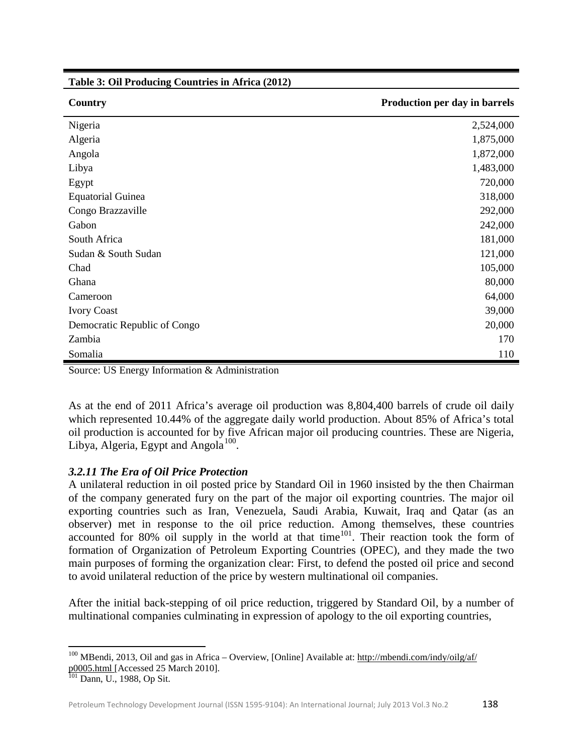**Table 3: Oil Producing Countries in Africa (2012)**

| Country                      | Production per day in barrels |
|------------------------------|-------------------------------|
| Nigeria                      | 2,524,000                     |
| Algeria                      | 1,875,000                     |
| Angola                       | 1,872,000                     |
| Libya                        | 1,483,000                     |
| Egypt                        | 720,000                       |
| <b>Equatorial Guinea</b>     | 318,000                       |
| Congo Brazzaville            | 292,000                       |
| Gabon                        | 242,000                       |
| South Africa                 | 181,000                       |
| Sudan & South Sudan          | 121,000                       |
| Chad                         | 105,000                       |
| Ghana                        | 80,000                        |
| Cameroon                     | 64,000                        |
| <b>Ivory Coast</b>           | 39,000                        |
| Democratic Republic of Congo | 20,000                        |
| Zambia                       | 170                           |
| Somalia                      | 110                           |

Source: US Energy Information & Administration

As at the end of 2011 Africa's average oil production was 8,804,400 barrels of crude oil daily which represented 10.44% of the aggregate daily world production. About 85% of Africa's total oil production is accounted for by five African major oil producing countries. These are Nigeria, Libya, Algeria, Egypt and Angola<sup>[100](#page-15-0)</sup>.

## *3.2.11 The Era of Oil Price Protection*

A unilateral reduction in oil posted price by Standard Oil in 1960 insisted by the then Chairman of the company generated fury on the part of the major oil exporting countries. The major oil exporting countries such as Iran, Venezuela, Saudi Arabia, Kuwait, Iraq and Qatar (as an observer) met in response to the oil price reduction. Among themselves, these countries accounted for 80% oil supply in the world at that time<sup>[101](#page-15-1)</sup>. Their reaction took the form of formation of Organization of Petroleum Exporting Countries (OPEC), and they made the two main purposes of forming the organization clear: First, to defend the posted oil price and second to avoid unilateral reduction of the price by western multinational oil companies.

After the initial back-stepping of oil price reduction, triggered by Standard Oil, by a number of multinational companies culminating in expression of apology to the oil exporting countries,

<span id="page-15-0"></span> $100$  MBendi, 2013, Oil and gas in Africa – Overview, [Online] Available at: http://mbendi.com/indy/oilg/af/ [p0005.html](http://mbendi.com/indy/oilg/af/%20p0005.html) [Accessed 25 March 2010]. <sup>101</sup> Dann, U., 1988, Op Sit.

<span id="page-15-1"></span>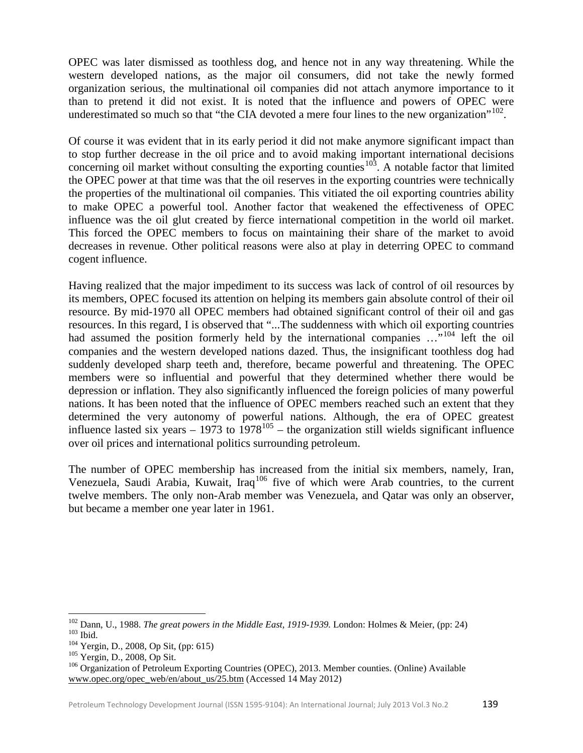OPEC was later dismissed as toothless dog, and hence not in any way threatening. While the western developed nations, as the major oil consumers, did not take the newly formed organization serious, the multinational oil companies did not attach anymore importance to it than to pretend it did not exist. It is noted that the influence and powers of OPEC were underestimated so much so that "the CIA devoted a mere four lines to the new organization".<sup>[102](#page-16-0)</sup>.

Of course it was evident that in its early period it did not make anymore significant impact than to stop further decrease in the oil price and to avoid making important international decisions concerning oil market without consulting the exporting counties  $103$ . A notable factor that limited the OPEC power at that time was that the oil reserves in the exporting countries were technically the properties of the multinational oil companies. This vitiated the oil exporting countries ability to make OPEC a powerful tool. Another factor that weakened the effectiveness of OPEC influence was the oil glut created by fierce international competition in the world oil market. This forced the OPEC members to focus on maintaining their share of the market to avoid decreases in revenue. Other political reasons were also at play in deterring OPEC to command cogent influence.

Having realized that the major impediment to its success was lack of control of oil resources by its members, OPEC focused its attention on helping its members gain absolute control of their oil resource. By mid-1970 all OPEC members had obtained significant control of their oil and gas resources. In this regard, I is observed that "...The suddenness with which oil exporting countries had assumed the position formerly held by the international companies ..."<sup>[104](#page-16-2)</sup> left the oil companies and the western developed nations dazed. Thus, the insignificant toothless dog had suddenly developed sharp teeth and, therefore, became powerful and threatening. The OPEC members were so influential and powerful that they determined whether there would be depression or inflation. They also significantly influenced the foreign policies of many powerful nations. It has been noted that the influence of OPEC members reached such an extent that they determined the very autonomy of powerful nations. Although, the era of OPEC greatest influence lasted six years  $-1973$  to  $1978^{105}$  $1978^{105}$  $1978^{105}$  – the organization still wields significant influence over oil prices and international politics surrounding petroleum.

The number of OPEC membership has increased from the initial six members, namely, Iran, Venezuela, Saudi Arabia, Kuwait, Iraq<sup>[106](#page-16-4)</sup> five of which were Arab countries, to the current twelve members. The only non-Arab member was Venezuela, and Qatar was only an observer, but became a member one year later in 1961.

<span id="page-16-1"></span><span id="page-16-0"></span><sup>&</sup>lt;sup>102</sup> Dann, U., 1988. *The great powers in the Middle East, 1919-1939*. London: Holmes & Meier, (pp: 24)<br><sup>103</sup> Ibid.<br><sup>104</sup> Yergin, D., 2008, Op Sit, (pp: 615)<br><sup>105</sup> Yergin, D., 2008, Op Sit.<br><sup>106</sup> Organization of Petroleu

<span id="page-16-2"></span>

<span id="page-16-3"></span>

<span id="page-16-4"></span>[www.opec.org/opec\\_web/en/about\\_us/25.btm](http://www.opec.org/opec_web/en/about_us/25.btm) (Accessed 14 May 2012)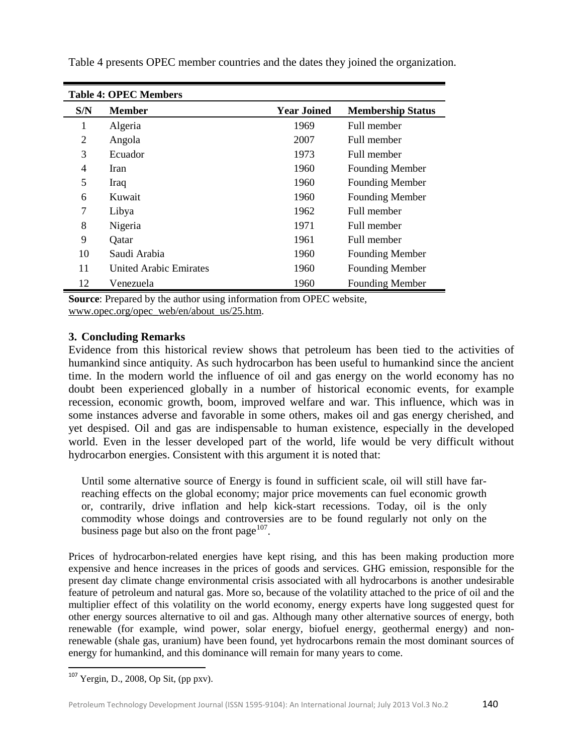| <b>Table 4: OPEC Members</b> |                               |                    |                          |  |  |
|------------------------------|-------------------------------|--------------------|--------------------------|--|--|
| S/N                          | <b>Member</b>                 | <b>Year Joined</b> | <b>Membership Status</b> |  |  |
| 1                            | Algeria                       | 1969               | Full member              |  |  |
| 2                            | Angola                        | 2007               | Full member              |  |  |
| 3                            | Ecuador                       | 1973               | Full member              |  |  |
| 4                            | Iran                          | 1960               | <b>Founding Member</b>   |  |  |
| 5                            | Iraq                          | 1960               | <b>Founding Member</b>   |  |  |
| 6                            | Kuwait                        | 1960               | <b>Founding Member</b>   |  |  |
| 7                            | Libya                         | 1962               | Full member              |  |  |
| 8                            | Nigeria                       | 1971               | Full member              |  |  |
| 9                            | Qatar                         | 1961               | Full member              |  |  |
| 10                           | Saudi Arabia                  | 1960               | <b>Founding Member</b>   |  |  |
| 11                           | <b>United Arabic Emirates</b> | 1960               | <b>Founding Member</b>   |  |  |
| 12                           | Venezuela                     | 1960               | <b>Founding Member</b>   |  |  |

Table 4 presents OPEC member countries and the dates they joined the organization.

**Source**: Prepared by the author using information from OPEC website, [www.opec.org/opec\\_web/en/about\\_us/25.htm.](http://www.opec.org/opec_web/en/about_us/25.htm)

## **3. Concluding Remarks**

Evidence from this historical review shows that petroleum has been tied to the activities of humankind since antiquity. As such hydrocarbon has been useful to humankind since the ancient time. In the modern world the influence of oil and gas energy on the world economy has no doubt been experienced globally in a number of historical economic events, for example recession, economic growth, boom, improved welfare and war. This influence, which was in some instances adverse and favorable in some others, makes oil and gas energy cherished, and yet despised. Oil and gas are indispensable to human existence, especially in the developed world. Even in the lesser developed part of the world, life would be very difficult without hydrocarbon energies. Consistent with this argument it is noted that:

Until some alternative source of Energy is found in sufficient scale, oil will still have farreaching effects on the global economy; major price movements can fuel economic growth or, contrarily, drive inflation and help kick-start recessions. Today, oil is the only commodity whose doings and controversies are to be found regularly not only on the business page but also on the front page $107$ .

Prices of hydrocarbon-related energies have kept rising, and this has been making production more expensive and hence increases in the prices of goods and services. GHG emission, responsible for the present day climate change environmental crisis associated with all hydrocarbons is another undesirable feature of petroleum and natural gas. More so, because of the volatility attached to the price of oil and the multiplier effect of this volatility on the world economy, energy experts have long suggested quest for other energy sources alternative to oil and gas. Although many other alternative sources of energy, both renewable (for example, wind power, solar energy, biofuel energy, geothermal energy) and nonrenewable (shale gas, uranium) have been found, yet hydrocarbons remain the most dominant sources of energy for humankind, and this dominance will remain for many years to come.

<span id="page-17-0"></span> $107$  Yergin, D., 2008, Op Sit, (pp pxv).